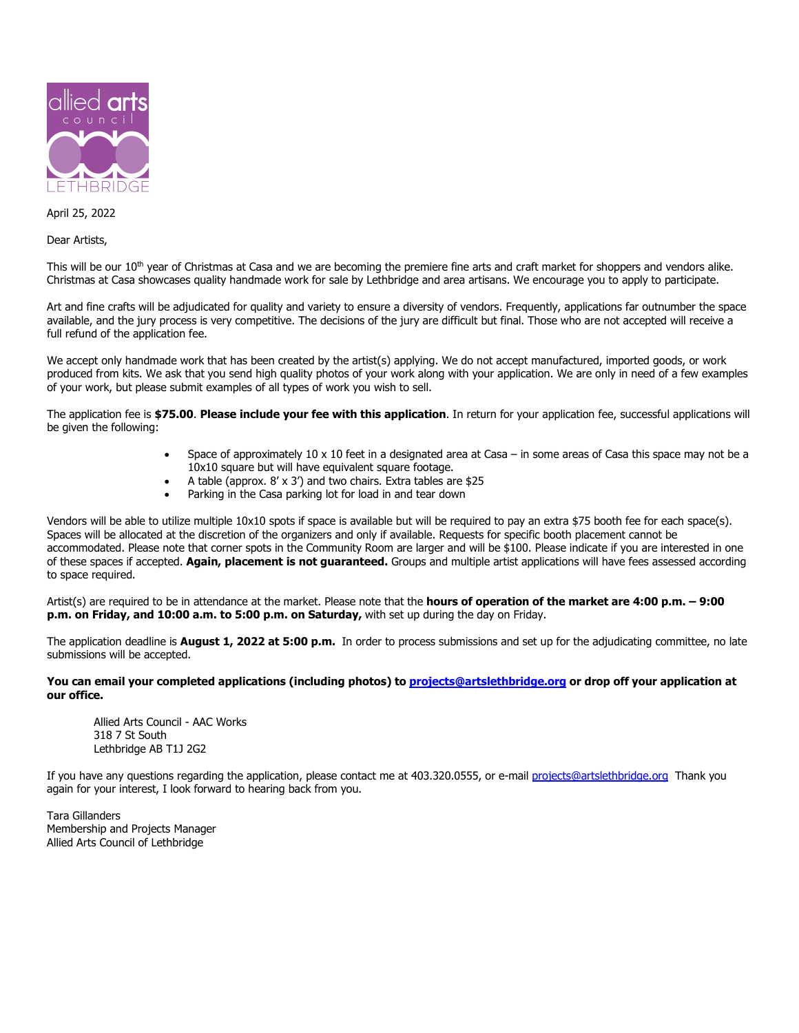

April 25, 2022

Dear Artists,

This will be our  $10<sup>th</sup>$  year of Christmas at Casa and we are becoming the premiere fine arts and craft market for shoppers and vendors alike. Christmas at Casa showcases quality handmade work for sale by Lethbridge and area artisans. We encourage you to apply to participate.

Art and fine crafts will be adjudicated for quality and variety to ensure a diversity of vendors. Frequently, applications far outnumber the space available, and the jury process is very competitive. The decisions of the jury are difficult but final. Those who are not accepted will receive a full refund of the application fee.

We accept only handmade work that has been created by the artist(s) applying. We do not accept manufactured, imported goods, or work produced from kits. We ask that you send high quality photos of your work along with your application. We are only in need of a few examples of your work, but please submit examples of all types of work you wish to sell.

The application fee is **\$75.00**. **Please include your fee with this application**. In return for your application fee, successful applications will be given the following:

- Space of approximately 10 x 10 feet in a designated area at Casa in some areas of Casa this space may not be a 10x10 square but will have equivalent square footage.
- A table (approx. 8' x 3') and two chairs. Extra tables are \$25
- Parking in the Casa parking lot for load in and tear down

Vendors will be able to utilize multiple 10x10 spots if space is available but will be required to pay an extra \$75 booth fee for each space(s). Spaces will be allocated at the discretion of the organizers and only if available. Requests for specific booth placement cannot be accommodated. Please note that corner spots in the Community Room are larger and will be \$100. Please indicate if you are interested in one of these spaces if accepted. **Again, placement is not guaranteed.** Groups and multiple artist applications will have fees assessed according to space required.

Artist(s) are required to be in attendance at the market. Please note that the **hours of operation of the market are 4:00 p.m. – 9:00 p.m. on Friday, and 10:00 a.m. to 5:00 p.m. on Saturday,** with set up during the day on Friday.

The application deadline is **August 1, 2022 at 5:00 p.m.** In order to process submissions and set up for the adjudicating committee, no late submissions will be accepted.

**You can email your completed applications (including photos) to [projects@artslethbridge.org](mailto:projects@artslethbridge.org) or drop off your application at our office.**

Allied Arts Council - AAC Works 318 7 St South Lethbridge AB T1J 2G2

If you have any questions regarding the application, please contact me at 403.320.0555, or e-mail [projects@artslethbridge.org](mailto:projects@artslethbridge.org) Thank you again for your interest, I look forward to hearing back from you.

Tara Gillanders Membership and Projects Manager Allied Arts Council of Lethbridge